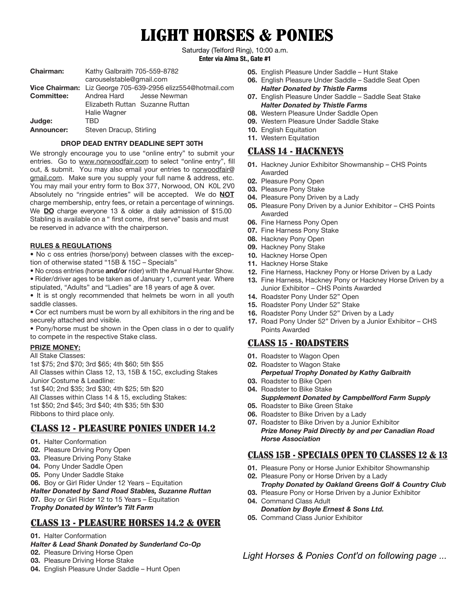# LIGHT HORSES & PONIES

Saturday (Telford Ring), 10:00 a.m. **Enter via Alma St., Gate #1**

| <b>Chairman:</b>  | Kathy Galbraith 705-559-8782                                |  |
|-------------------|-------------------------------------------------------------|--|
|                   | carouselstable@gmail.com                                    |  |
|                   | Vice Chairman: Liz George 705-639-2956 elizz554@hotmail.com |  |
| <b>Committee:</b> | Andrea Hard Jesse Newman                                    |  |
|                   | Elizabeth Ruttan Suzanne Ruttan                             |  |
|                   | Halie Wagner                                                |  |
| Judge:            | TRD                                                         |  |
| Announcer:        | Steven Dracup, Stirling                                     |  |
|                   |                                                             |  |

#### **DROP DEAD ENTRY DEADLINE SEPT 30TH**

We strongly encourage you to use "online entry" to submit your entries. Go to www.norwoodfair.com to select "online entry", fill out, & submit. You may also email your entries to norwoodfair@ gmail.com. Make sure you supply your full name & address, etc. You may mail your entry form to Box 377, Norwood, ON K0L 2V0 Absolutely no "ringside entries" will be accepted. We do **NOT**  charge membership, entry fees, or retain a percentage of winnings. We **DO** charge everyone 13 & older a daily admission of \$15.00 Stabling is available on a " first come, ifrst serve" basis and must be reserved in advance with the chairperson.

#### **RULES & REGULATIONS**

• No c oss entries (horse/pony) between classes with the exception of otherwise stated "15B & 15C – Specials"

- No cross entries (horse **and/or** rider) with the Annual Hunter Show. • Rider/driver ages to be taken as of January 1, current year. Where
- stipulated, "Adults" and "Ladies" are 18 years of age & over.
- It is st ongly recommended that helmets be worn in all youth saddle classes.
- Cor ect numbers must be worn by all exhibitors in the ring and be securely attached and visible.
- Pony/horse must be shown in the Open class in o der to qualify to compete in the respective Stake class.

#### **PRIZE MONEY:**

#### All Stake Classes:

1st \$75; 2nd \$70; 3rd \$65; 4th \$60; 5th \$55 All Classes within Class 12, 13, 15B & 15C, excluding Stakes Junior Costume & Leadline: 1st \$40; 2nd \$35; 3rd \$30; 4th \$25; 5th \$20 All Classes within Class 14 & 15, excluding Stakes: 1st \$50; 2nd \$45; 3rd \$40; 4th \$35; 5th \$30 Ribbons to third place only.

## CLASS 12 - PLEASURE PONIES UNDER 14.2

- **01.** Halter Conformation
- **02.** Pleasure Driving Pony Open
- **03.** Pleasure Driving Pony Stake
- **04.** Pony Under Saddle Open
- **05.** Pony Under Saddle Stake

**06.** Boy or Girl Rider Under 12 Years – Equitation *Halter Donated by Sand Road Stables, Suzanne Ruttan* **07.** Boy or Girl Rider 12 to 15 Years – Equitation

*Trophy Donated by Winter's Tilt Farm*

## CLASS 13 - PLEASURE HORSES 14.2 & OVER

#### **01.** Halter Conformation

- *Halter & Lead Shank Donated by Sunderland Co-Op*
- **02.** Pleasure Driving Horse Open
- **03.** Pleasure Driving Horse Stake
- **04.** English Pleasure Under Saddle Hunt Open
- **05.** English Pleasure Under Saddle Hunt Stake
- **06.** English Pleasure Under Saddle Saddle Seat Open *Halter Donated by Thistle Farms*
- **07.** English Pleasure Under Saddle Saddle Seat Stake *Halter Donated by Thistle Farms*
- **08.** Western Pleasure Under Saddle Open
- **09.** Western Pleasure Under Saddle Stake
- **10.** English Equitation
- **11.** Western Equitation

## CLASS 14 - HACKNEYS

- **01.** Hackney Junior Exhibitor Showmanship CHS Points Awarded
- **02.** Pleasure Pony Open
- **03.** Pleasure Pony Stake
- **04.** Pleasure Pony Driven by a Lady
- **05.** Pleasure Pony Driven by a Junior Exhibitor CHS Points Awarded
- **06.** Fine Harness Pony Open
- **07.** Fine Harness Pony Stake
- **08.** Hackney Pony Open
- **09.** Hackney Pony Stake
- **10.** Hackney Horse Open
- **11.** Hackney Horse Stake
- **12.** Fine Harness, Hackney Pony or Horse Driven by a Lady
- **13.** Fine Harness, Hackney Pony or Hackney Horse Driven by a Junior Exhibitor – CHS Points Awarded
- **14.** Roadster Pony Under 52" Open
- **15.** Roadster Pony Under 52" Stake
- **16.** Roadster Pony Under 52" Driven by a Lady
- **17.** Road Pony Under 52" Driven by a Junior Exhibitor CHS Points Awarded

## CLASS 15 - ROADSTERS

- **01.** Roadster to Wagon Open
- **02.** Roadster to Wagon Stake *Perpetual Trophy Donated by Kathy Galbraith*
- **03.** Roadster to Bike Open
- **04.** Roadster to Bike Stake *Supplement Donated by Campbellford Farm Supply*
- **05.** Roadster to Bike Green Stake
- **06.** Roadster to Bike Driven by a Lady **07.** Roadster to Bike Driven by a Junior Exhibitor

*Prize Money Paid Directly by and per Canadian Road Horse Association*

## CLASS 15B - SPECIALS OPEN TO CLASSES 12 & 13

- **01.** Pleasure Pony or Horse Junior Exhibitor Showmanship
- **02.** Pleasure Pony or Horse Driven by a Lady
- *Trophy Donated by Oakland Greens Golf & Country Club*
- **03.** Pleasure Pony or Horse Driven by a Junior Exhibitor **04.** Command Class Adult
- *Donation by Boyle Ernest & Sons Ltd.*
- **05.** Command Class Junior Exhibitor

*Light Horses & Ponies Cont'd on following page ...*